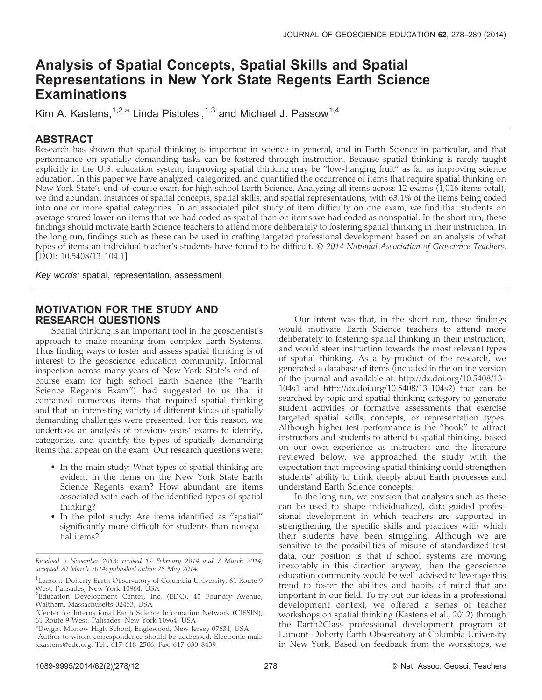# Analysis of Spatial Concepts, Spatial Skills and Spatial Representations in New York State Regents Earth Science Examinations

Kim A. Kastens,<sup>1,2,a</sup> Linda Pistolesi,<sup>1,3</sup> and Michael J. Passow<sup>1,4</sup>

# ABSTRACT

Research has shown that spatial thinking is important in science in general, and in Earth Science in particular, and that performance on spatially demanding tasks can be fostered through instruction. Because spatial thinking is rarely taught explicitly in the U.S. education system, improving spatial thinking may be ''low-hanging fruit'' as far as improving science education. In this paper we have analyzed, categorized, and quantified the occurrence of items that require spatial thinking on New York State's end-of-course exam for high school Earth Science. Analyzing all items across 12 exams (1,016 items total), we find abundant instances of spatial concepts, spatial skills, and spatial representations, with 63.1% of the items being coded into one or more spatial categories. In an associated pilot study of item difficulty on one exam, we find that students on average scored lower on items that we had coded as spatial than on items we had coded as nonspatial. In the short run, these findings should motivate Earth Science teachers to attend more deliberately to fostering spatial thinking in their instruction. In the long run, findings such as these can be used in crafting targeted professional development based on an analysis of what types of items an individual teacher's students have found to be difficult. © 2014 National Association of Geoscience Teachers. [DOI: 10.5408/13-104.1]

Key words: spatial, representation, assessment

# MOTIVATION FOR THE STUDY AND RESEARCH QUESTIONS

Spatial thinking is an important tool in the geoscientist's approach to make meaning from complex Earth Systems. Thus finding ways to foster and assess spatial thinking is of interest to the geoscience education community. Informal inspection across many years of New York State's end-ofcourse exam for high school Earth Science (the ''Earth Science Regents Exam'') had suggested to us that it contained numerous items that required spatial thinking and that an interesting variety of different kinds of spatially demanding challenges were presented. For this reason, we undertook an analysis of previous years' exams to identify, categorize, and quantify the types of spatially demanding items that appear on the exam. Our research questions were:

- In the main study: What types of spatial thinking are evident in the items on the New York State Earth Science Regents exam? How abundant are items associated with each of the identified types of spatial thinking?
- In the pilot study: Are items identified as ''spatial'' significantly more difficult for students than nonspatial items?

Our intent was that, in the short run, these findings would motivate Earth Science teachers to attend more deliberately to fostering spatial thinking in their instruction, and would steer instruction towards the most relevant types of spatial thinking. As a by-product of the research, we generated a database of items (included in the online version of the journal and available at: http://dx.doi.org/10.5408/13- 104s1 and http://dx.doi.org/10.5408/13-104s2) that can be searched by topic and spatial thinking category to generate student activities or formative assessments that exercise targeted spatial skills, concepts, or representation types. Although higher test performance is the ''hook'' to attract instructors and students to attend to spatial thinking, based on our own experience as instructors and the literature reviewed below, we approached the study with the expectation that improving spatial thinking could strengthen students' ability to think deeply about Earth processes and understand Earth Science concepts.

In the long run, we envision that analyses such as these can be used to shape individualized, data-guided professional development in which teachers are supported in strengthening the specific skills and practices with which their students have been struggling. Although we are sensitive to the possibilities of misuse of standardized test data, our position is that if school systems are moving inexorably in this direction anyway, then the geoscience education community would be well-advised to leverage this trend to foster the abilities and habits of mind that are important in our field. To try out our ideas in a professional development context, we offered a series of teacher workshops on spatial thinking (Kastens et al., 2012) through the Earth2Class professional development program at Lamont–Doherty Earth Observatory at Columbia University in New York. Based on feedback from the workshops, we

Received 9 November 2013; revised 17 February 2014 and 7 March 2014; accepted 20 March 2014; published online 28 May 2014.

<sup>&</sup>lt;sup>1</sup>Lamont-Doherty Earth Observatory of Columbia University, 61 Route 9 West, Palisades, New York 10964, USA

<sup>&</sup>lt;sup>2</sup>Education Development Center, Inc. (EDC), 43 Foundry Avenue, Waltham, Massachusetts 02453, USA

<sup>&</sup>lt;sup>3</sup>Center for International Earth Science Information Network (CIESIN), 61 Route 9 West, Palisades, New York 10964, USA

<sup>4</sup> Dwight Morrow High School, Englewood, New Jersey 07631, USA

<sup>&</sup>lt;sup>a</sup> Author to whom correspondence should be addressed. Electronic mail: kkastens@edc.org. Tel.: 617-618-2506. Fax: 617-630-8439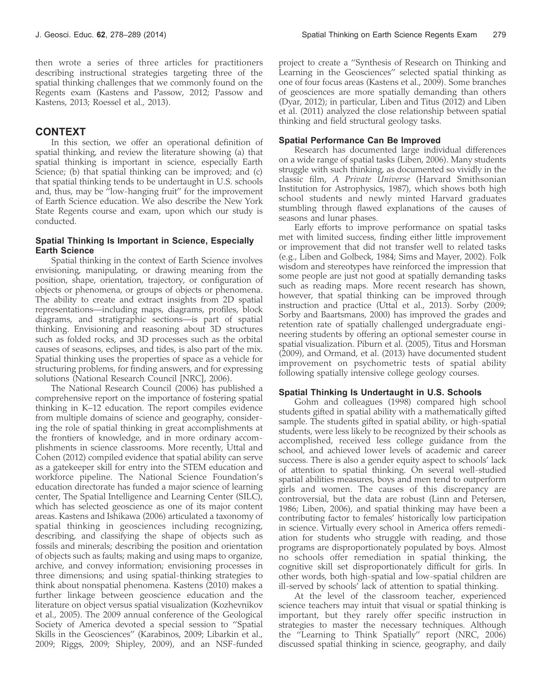then wrote a series of three articles for practitioners describing instructional strategies targeting three of the spatial thinking challenges that we commonly found on the Regents exam (Kastens and Passow, 2012; Passow and Kastens, 2013; Roessel et al., 2013).

# CONTEXT

In this section, we offer an operational definition of spatial thinking, and review the literature showing (a) that spatial thinking is important in science, especially Earth Science; (b) that spatial thinking can be improved; and (c) that spatial thinking tends to be undertaught in U.S. schools and, thus, may be ''low-hanging fruit'' for the improvement of Earth Science education. We also describe the New York State Regents course and exam, upon which our study is conducted.

### Spatial Thinking Is Important in Science, Especially Earth Science

Spatial thinking in the context of Earth Science involves envisioning, manipulating, or drawing meaning from the position, shape, orientation, trajectory, or configuration of objects or phenomena, or groups of objects or phenomena. The ability to create and extract insights from 2D spatial representations—including maps, diagrams, profiles, block diagrams, and stratigraphic sections—is part of spatial thinking. Envisioning and reasoning about 3D structures such as folded rocks, and 3D processes such as the orbital causes of seasons, eclipses, and tides, is also part of the mix. Spatial thinking uses the properties of space as a vehicle for structuring problems, for finding answers, and for expressing solutions (National Research Council [NRC], 2006).

The National Research Council (2006) has published a comprehensive report on the importance of fostering spatial thinking in K–12 education. The report compiles evidence from multiple domains of science and geography, considering the role of spatial thinking in great accomplishments at the frontiers of knowledge, and in more ordinary accomplishments in science classrooms. More recently, Uttal and Cohen (2012) compiled evidence that spatial ability can serve as a gatekeeper skill for entry into the STEM education and workforce pipeline. The National Science Foundation's education directorate has funded a major science of learning center, The Spatial Intelligence and Learning Center (SILC), which has selected geoscience as one of its major content areas. Kastens and Ishikawa (2006) articulated a taxonomy of spatial thinking in geosciences including recognizing, describing, and classifying the shape of objects such as fossils and minerals; describing the position and orientation of objects such as faults; making and using maps to organize, archive, and convey information; envisioning processes in three dimensions; and using spatial-thinking strategies to think about nonspatial phenomena. Kastens (2010) makes a further linkage between geoscience education and the literature on object versus spatial visualization (Kozhevnikov et al., 2005). The 2009 annual conference of the Geological Society of America devoted a special session to ''Spatial Skills in the Geosciences'' (Karabinos, 2009; Libarkin et al., 2009; Riggs, 2009; Shipley, 2009), and an NSF-funded

project to create a ''Synthesis of Research on Thinking and Learning in the Geosciences'' selected spatial thinking as one of four focus areas (Kastens et al., 2009). Some branches of geosciences are more spatially demanding than others (Dyar, 2012); in particular, Liben and Titus (2012) and Liben et al. (2011) analyzed the close relationship between spatial thinking and field structural geology tasks.

### Spatial Performance Can Be Improved

Research has documented large individual differences on a wide range of spatial tasks (Liben, 2006). Many students struggle with such thinking, as documented so vividly in the classic film, A Private Universe (Harvard Smithsonian Institution for Astrophysics, 1987), which shows both high school students and newly minted Harvard graduates stumbling through flawed explanations of the causes of seasons and lunar phases.

Early efforts to improve performance on spatial tasks met with limited success, finding either little improvement or improvement that did not transfer well to related tasks (e.g., Liben and Golbeck, 1984; Sims and Mayer, 2002). Folk wisdom and stereotypes have reinforced the impression that some people are just not good at spatially demanding tasks such as reading maps. More recent research has shown, however, that spatial thinking can be improved through instruction and practice (Uttal et al., 2013). Sorby (2009; Sorby and Baartsmans, 2000) has improved the grades and retention rate of spatially challenged undergraduate engineering students by offering an optional semester course in spatial visualization. Piburn et al. (2005), Titus and Horsman (2009), and Ormand, et al. (2013) have documented student improvement on psychometric tests of spatial ability following spatially intensive college geology courses.

### Spatial Thinking Is Undertaught in U.S. Schools

Gohm and colleagues (1998) compared high school students gifted in spatial ability with a mathematically gifted sample. The students gifted in spatial ability, or high-spatial students, were less likely to be recognized by their schools as accomplished, received less college guidance from the school, and achieved lower levels of academic and career success. There is also a gender equity aspect to schools' lack of attention to spatial thinking. On several well-studied spatial abilities measures, boys and men tend to outperform girls and women. The causes of this discrepancy are controversial, but the data are robust (Linn and Petersen, 1986; Liben, 2006), and spatial thinking may have been a contributing factor to females' historically low participation in science. Virtually every school in America offers remediation for students who struggle with reading, and those programs are disproportionately populated by boys. Almost no schools offer remediation in spatial thinking, the cognitive skill set disproportionately difficult for girls. In other words, both high-spatial and low-spatial children are ill-served by schools' lack of attention to spatial thinking.

At the level of the classroom teacher, experienced science teachers may intuit that visual or spatial thinking is important, but they rarely offer specific instruction in strategies to master the necessary techniques. Although the ''Learning to Think Spatially'' report (NRC, 2006) discussed spatial thinking in science, geography, and daily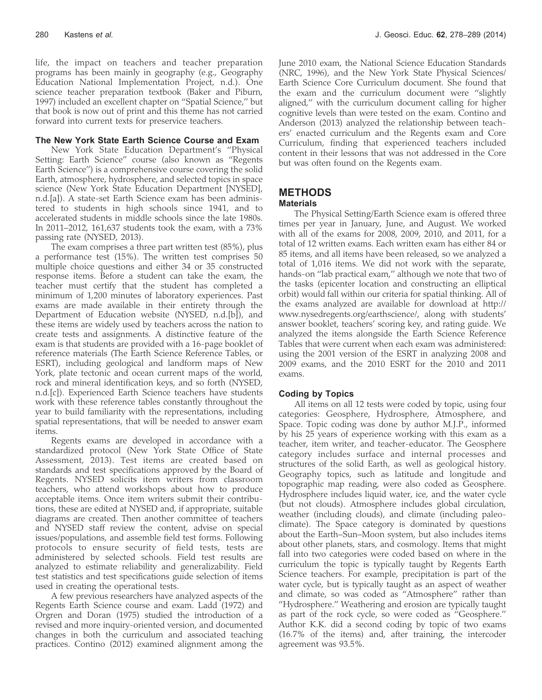life, the impact on teachers and teacher preparation programs has been mainly in geography (e.g., Geography Education National Implementation Project, n.d.). One science teacher preparation textbook (Baker and Piburn, 1997) included an excellent chapter on ''Spatial Science,'' but that book is now out of print and this theme has not carried forward into current texts for preservice teachers.

### The New York State Earth Science Course and Exam

New York State Education Department's ''Physical Setting: Earth Science'' course (also known as ''Regents Earth Science'') is a comprehensive course covering the solid Earth, atmosphere, hydrosphere, and selected topics in space science (New York State Education Department [NYSED], n.d.[a]). A state-set Earth Science exam has been administered to students in high schools since 1941, and to accelerated students in middle schools since the late 1980s. In 2011–2012, 161,637 students took the exam, with a 73% passing rate (NYSED, 2013).

The exam comprises a three part written test (85%), plus a performance test (15%). The written test comprises 50 multiple choice questions and either 34 or 35 constructed response items. Before a student can take the exam, the teacher must certify that the student has completed a minimum of 1,200 minutes of laboratory experiences. Past exams are made available in their entirety through the Department of Education website (NYSED, n.d.[b]), and these items are widely used by teachers across the nation to create tests and assignments. A distinctive feature of the exam is that students are provided with a 16-page booklet of reference materials (The Earth Science Reference Tables, or ESRT), including geological and landform maps of New York, plate tectonic and ocean current maps of the world, rock and mineral identification keys, and so forth (NYSED, n.d.[c]). Experienced Earth Science teachers have students work with these reference tables constantly throughout the year to build familiarity with the representations, including spatial representations, that will be needed to answer exam items.

Regents exams are developed in accordance with a standardized protocol (New York State Office of State Assessment, 2013). Test items are created based on standards and test specifications approved by the Board of Regents. NYSED solicits item writers from classroom teachers, who attend workshops about how to produce acceptable items. Once item writers submit their contributions, these are edited at NYSED and, if appropriate, suitable diagrams are created. Then another committee of teachers and NYSED staff review the content, advise on special issues/populations, and assemble field test forms. Following protocols to ensure security of field tests, tests are administered by selected schools. Field test results are analyzed to estimate reliability and generalizability. Field test statistics and test specifications guide selection of items used in creating the operational tests.

A few previous researchers have analyzed aspects of the Regents Earth Science course and exam. Ladd (1972) and Orgren and Doran (1975) studied the introduction of a revised and more inquiry-oriented version, and documented changes in both the curriculum and associated teaching practices. Contino (2012) examined alignment among the

June 2010 exam, the National Science Education Standards (NRC, 1996), and the New York State Physical Sciences/ Earth Science Core Curriculum document. She found that the exam and the curriculum document were ''slightly aligned,'' with the curriculum document calling for higher cognitive levels than were tested on the exam. Contino and Anderson (2013) analyzed the relationship between teachers' enacted curriculum and the Regents exam and Core Curriculum, finding that experienced teachers included content in their lessons that was not addressed in the Core but was often found on the Regents exam.

# METHODS

# **Materials**

The Physical Setting/Earth Science exam is offered three times per year in January, June, and August. We worked with all of the exams for 2008, 2009, 2010, and 2011, for a total of 12 written exams. Each written exam has either 84 or 85 items, and all items have been released, so we analyzed a total of 1,016 items. We did not work with the separate, hands-on "lab practical exam," although we note that two of the tasks (epicenter location and constructing an elliptical orbit) would fall within our criteria for spatial thinking. All of the exams analyzed are available for download at http:// www.nysedregents.org/earthscience/, along with students' answer booklet, teachers' scoring key, and rating guide. We analyzed the items alongside the Earth Science Reference Tables that were current when each exam was administered: using the 2001 version of the ESRT in analyzing 2008 and 2009 exams, and the 2010 ESRT for the 2010 and 2011 exams.

# Coding by Topics

All items on all 12 tests were coded by topic, using four categories: Geosphere, Hydrosphere, Atmosphere, and Space. Topic coding was done by author M.J.P., informed by his 25 years of experience working with this exam as a teacher, item writer, and teacher-educator. The Geosphere category includes surface and internal processes and structures of the solid Earth, as well as geological history. Geography topics, such as latitude and longitude and topographic map reading, were also coded as Geosphere. Hydrosphere includes liquid water, ice, and the water cycle (but not clouds). Atmosphere includes global circulation, weather (including clouds), and climate (including paleoclimate). The Space category is dominated by questions about the Earth–Sun–Moon system, but also includes items about other planets, stars, and cosmology. Items that might fall into two categories were coded based on where in the curriculum the topic is typically taught by Regents Earth Science teachers. For example, precipitation is part of the water cycle, but is typically taught as an aspect of weather and climate, so was coded as ''Atmosphere'' rather than ''Hydrosphere.'' Weathering and erosion are typically taught as part of the rock cycle, so were coded as ''Geosphere.'' Author K.K. did a second coding by topic of two exams (16.7% of the items) and, after training, the intercoder agreement was 93.5%.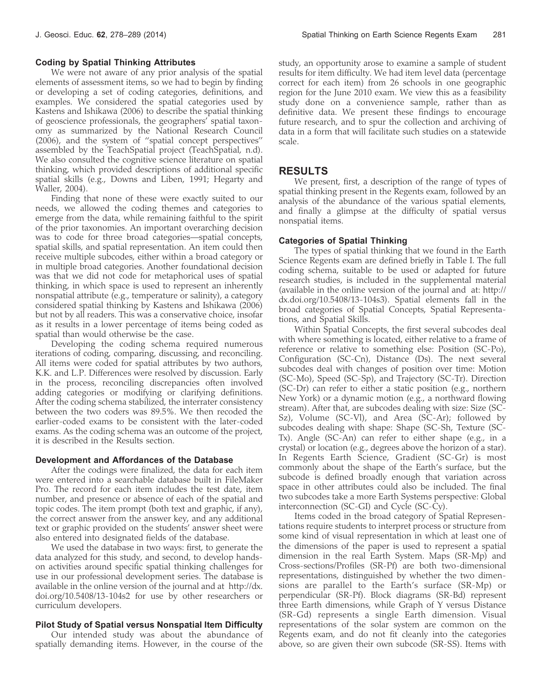### Coding by Spatial Thinking Attributes

We were not aware of any prior analysis of the spatial elements of assessment items, so we had to begin by finding or developing a set of coding categories, definitions, and examples. We considered the spatial categories used by Kastens and Ishikawa (2006) to describe the spatial thinking of geoscience professionals, the geographers' spatial taxonomy as summarized by the National Research Council (2006), and the system of ''spatial concept perspectives'' assembled by the TeachSpatial project (TeachSpatial, n.d). We also consulted the cognitive science literature on spatial thinking, which provided descriptions of additional specific spatial skills (e.g., Downs and Liben, 1991; Hegarty and Waller, 2004).

Finding that none of these were exactly suited to our needs, we allowed the coding themes and categories to emerge from the data, while remaining faithful to the spirit of the prior taxonomies. An important overarching decision was to code for three broad categories—spatial concepts, spatial skills, and spatial representation. An item could then receive multiple subcodes, either within a broad category or in multiple broad categories. Another foundational decision was that we did not code for metaphorical uses of spatial thinking, in which space is used to represent an inherently nonspatial attribute (e.g., temperature or salinity), a category considered spatial thinking by Kastens and Ishikawa (2006) but not by all readers. This was a conservative choice, insofar as it results in a lower percentage of items being coded as spatial than would otherwise be the case.

Developing the coding schema required numerous iterations of coding, comparing, discussing, and reconciling. All items were coded for spatial attributes by two authors, K.K. and L.P. Differences were resolved by discussion. Early in the process, reconciling discrepancies often involved adding categories or modifying or clarifying definitions. After the coding schema stabilized, the interrater consistency between the two coders was 89.5%. We then recoded the earlier-coded exams to be consistent with the later-coded exams. As the coding schema was an outcome of the project, it is described in the Results section.

#### Development and Affordances of the Database

After the codings were finalized, the data for each item were entered into a searchable database built in FileMaker Pro. The record for each item includes the test date, item number, and presence or absence of each of the spatial and topic codes. The item prompt (both text and graphic, if any), the correct answer from the answer key, and any additional text or graphic provided on the students' answer sheet were also entered into designated fields of the database.

We used the database in two ways: first, to generate the data analyzed for this study, and second, to develop handson activities around specific spatial thinking challenges for use in our professional development series. The database is available in the online version of the journal and at http://dx. doi.org/10.5408/13-104s2 for use by other researchers or curriculum developers.

### Pilot Study of Spatial versus Nonspatial Item Difficulty

Our intended study was about the abundance of spatially demanding items. However, in the course of the

study, an opportunity arose to examine a sample of student results for item difficulty. We had item level data (percentage correct for each item) from 26 schools in one geographic region for the June 2010 exam. We view this as a feasibility study done on a convenience sample, rather than as definitive data. We present these findings to encourage future research, and to spur the collection and archiving of data in a form that will facilitate such studies on a statewide scale.

# RESULTS

We present, first, a description of the range of types of spatial thinking present in the Regents exam, followed by an analysis of the abundance of the various spatial elements, and finally a glimpse at the difficulty of spatial versus nonspatial items.

### Categories of Spatial Thinking

The types of spatial thinking that we found in the Earth Science Regents exam are defined briefly in Table I. The full coding schema, suitable to be used or adapted for future research studies, is included in the supplemental material (available in the online version of the journal and at: http:// dx.doi.org/10.5408/13-104s3). Spatial elements fall in the broad categories of Spatial Concepts, Spatial Representations, and Spatial Skills.

Within Spatial Concepts, the first several subcodes deal with where something is located, either relative to a frame of reference or relative to something else: Position (SC-Po), Configuration (SC-Cn), Distance (Ds). The next several subcodes deal with changes of position over time: Motion (SC-Mo), Speed (SC-Sp), and Trajectory (SC-Tr). Direction (SC-Dr) can refer to either a static position (e.g., northern New York) or a dynamic motion (e.g., a northward flowing stream). After that, are subcodes dealing with size: Size (SC-Sz), Volume (SC-Vl), and Area (SC-Ar); followed by subcodes dealing with shape: Shape (SC-Sh, Texture (SC-Tx). Angle (SC-An) can refer to either shape (e.g., in a crystal) or location (e.g., degrees above the horizon of a star). In Regents Earth Science, Gradient (SC-Gr) is most commonly about the shape of the Earth's surface, but the subcode is defined broadly enough that variation across space in other attributes could also be included. The final two subcodes take a more Earth Systems perspective: Global interconnection (SC-GI) and Cycle (SC-Cy).

Items coded in the broad category of Spatial Representations require students to interpret process or structure from some kind of visual representation in which at least one of the dimensions of the paper is used to represent a spatial dimension in the real Earth System. Maps (SR-Mp) and Cross-sections/Profiles (SR-Pf) are both two-dimensional representations, distinguished by whether the two dimensions are parallel to the Earth's surface (SR-Mp) or perpendicular (SR-Pf). Block diagrams (SR-Bd) represent three Earth dimensions, while Graph of Y versus Distance (SR-Gd) represents a single Earth dimension. Visual representations of the solar system are common on the Regents exam, and do not fit cleanly into the categories above, so are given their own subcode (SR-SS). Items with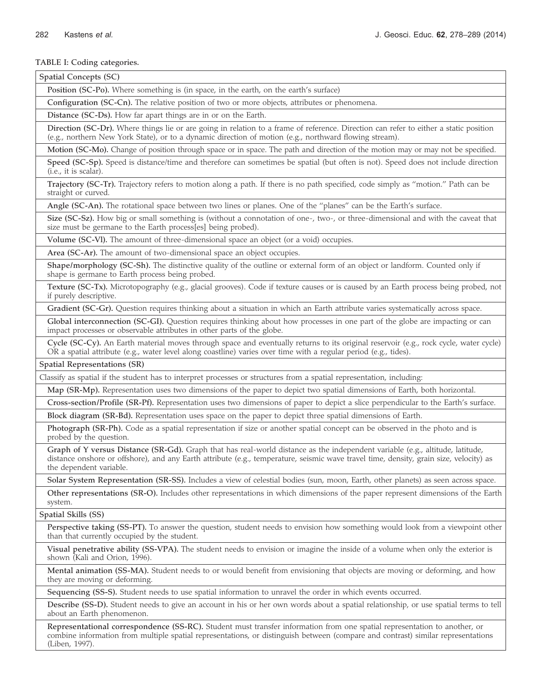# TABLE I: Coding categories.

| Spatial Concepts (SC)                                                                                                                                                                                                                                                                              |  |  |  |  |
|----------------------------------------------------------------------------------------------------------------------------------------------------------------------------------------------------------------------------------------------------------------------------------------------------|--|--|--|--|
| Position (SC-Po). Where something is (in space, in the earth, on the earth's surface)                                                                                                                                                                                                              |  |  |  |  |
| Configuration (SC-Cn). The relative position of two or more objects, attributes or phenomena.                                                                                                                                                                                                      |  |  |  |  |
| Distance (SC-Ds). How far apart things are in or on the Earth.                                                                                                                                                                                                                                     |  |  |  |  |
| Direction (SC-Dr). Where things lie or are going in relation to a frame of reference. Direction can refer to either a static position<br>(e.g., northern New York State), or to a dynamic direction of motion (e.g., northward flowing stream).                                                    |  |  |  |  |
| Motion (SC-Mo). Change of position through space or in space. The path and direction of the motion may or may not be specified.                                                                                                                                                                    |  |  |  |  |
| Speed (SC-Sp). Speed is distance/time and therefore can sometimes be spatial (but often is not). Speed does not include direction<br>(i.e., it is scalar).                                                                                                                                         |  |  |  |  |
| Trajectory (SC-Tr). Trajectory refers to motion along a path. If there is no path specified, code simply as "motion." Path can be<br>straight or curved.                                                                                                                                           |  |  |  |  |
| Angle (SC-An). The rotational space between two lines or planes. One of the "planes" can be the Earth's surface.                                                                                                                                                                                   |  |  |  |  |
| Size (SC-Sz). How big or small something is (without a connotation of one-, two-, or three-dimensional and with the caveat that<br>size must be germane to the Earth process[es] being probed).                                                                                                    |  |  |  |  |
| Volume (SC-VI). The amount of three-dimensional space an object (or a void) occupies.                                                                                                                                                                                                              |  |  |  |  |
| Area (SC-Ar). The amount of two-dimensional space an object occupies.                                                                                                                                                                                                                              |  |  |  |  |
| Shape/morphology (SC-Sh). The distinctive quality of the outline or external form of an object or landform. Counted only if<br>shape is germane to Earth process being probed.                                                                                                                     |  |  |  |  |
| Texture (SC-Tx). Microtopography (e.g., glacial grooves). Code if texture causes or is caused by an Earth process being probed, not<br>if purely descriptive.                                                                                                                                      |  |  |  |  |
| Gradient (SC-Gr). Question requires thinking about a situation in which an Earth attribute varies systematically across space.                                                                                                                                                                     |  |  |  |  |
| Global interconnection (SC-GI). Question requires thinking about how processes in one part of the globe are impacting or can<br>impact processes or observable attributes in other parts of the globe.                                                                                             |  |  |  |  |
| Cycle (SC-Cy). An Earth material moves through space and eventually returns to its original reservoir (e.g., rock cycle, water cycle)<br>OR a spatial attribute (e.g., water level along coastline) varies over time with a regular period (e.g., tides).                                          |  |  |  |  |
| Spatial Representations (SR)                                                                                                                                                                                                                                                                       |  |  |  |  |
| Classify as spatial if the student has to interpret processes or structures from a spatial representation, including:                                                                                                                                                                              |  |  |  |  |
| Map (SR-Mp). Representation uses two dimensions of the paper to depict two spatial dimensions of Earth, both horizontal.                                                                                                                                                                           |  |  |  |  |
| Cross-section/Profile (SR-Pf). Representation uses two dimensions of paper to depict a slice perpendicular to the Earth's surface.                                                                                                                                                                 |  |  |  |  |
| Block diagram (SR-Bd). Representation uses space on the paper to depict three spatial dimensions of Earth.                                                                                                                                                                                         |  |  |  |  |
| Photograph (SR-Ph). Code as a spatial representation if size or another spatial concept can be observed in the photo and is<br>probed by the question.                                                                                                                                             |  |  |  |  |
| Graph of Y versus Distance (SR-Gd). Graph that has real-world distance as the independent variable (e.g., altitude, latitude,<br>distance onshore or offshore), and any Earth attribute (e.g., temperature, seismic wave travel time, density, grain size, velocity) as<br>the dependent variable. |  |  |  |  |
| Solar System Representation (SR-SS). Includes a view of celestial bodies (sun, moon, Earth, other planets) as seen across space.                                                                                                                                                                   |  |  |  |  |
| Other representations (SR-O). Includes other representations in which dimensions of the paper represent dimensions of the Earth<br>system.                                                                                                                                                         |  |  |  |  |
| Spatial Skills (SS)                                                                                                                                                                                                                                                                                |  |  |  |  |
| Perspective taking (SS-PT). To answer the question, student needs to envision how something would look from a viewpoint other<br>than that currently occupied by the student.                                                                                                                      |  |  |  |  |
| Visual penetrative ability (SS-VPA). The student needs to envision or imagine the inside of a volume when only the exterior is<br>shown (Kali and Orion, 1996).                                                                                                                                    |  |  |  |  |
| Mental animation (SS-MA). Student needs to or would benefit from envisioning that objects are moving or deforming, and how<br>they are moving or deforming.                                                                                                                                        |  |  |  |  |
| Sequencing (SS-S). Student needs to use spatial information to unravel the order in which events occurred.                                                                                                                                                                                         |  |  |  |  |
| Describe (SS-D). Student needs to give an account in his or her own words about a spatial relationship, or use spatial terms to tell<br>about an Earth phenomenon.                                                                                                                                 |  |  |  |  |
| Representational correspondence (SS-RC). Student must transfer information from one spatial representation to another, or<br>combine information from multiple spatial representations, or distinguish between (compare and contrast) similar representations<br>(Liben, 1997).                    |  |  |  |  |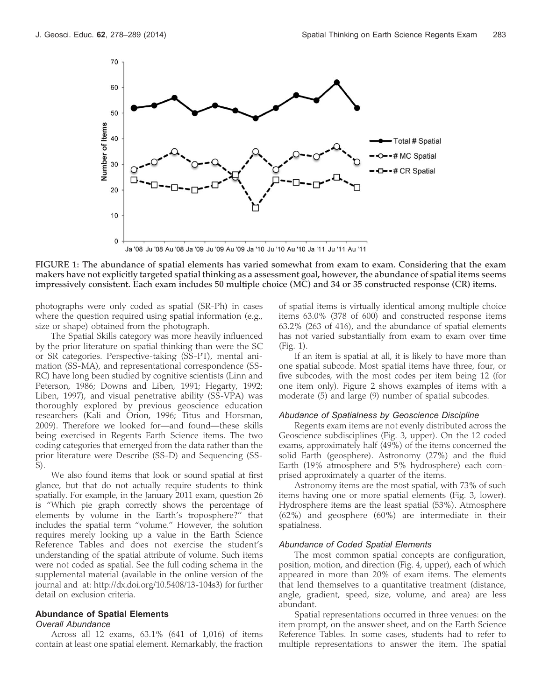

FIGURE 1: The abundance of spatial elements has varied somewhat from exam to exam. Considering that the exam makers have not explicitly targeted spatial thinking as a assessment goal, however, the abundance of spatial items seems impressively consistent. Each exam includes 50 multiple choice (MC) and 34 or 35 constructed response (CR) items.

photographs were only coded as spatial (SR-Ph) in cases where the question required using spatial information (e.g., size or shape) obtained from the photograph.

The Spatial Skills category was more heavily influenced by the prior literature on spatial thinking than were the SC or SR categories. Perspective-taking (SS-PT), mental animation (SS-MA), and representational correspondence (SS-RC) have long been studied by cognitive scientists (Linn and Peterson, 1986; Downs and Liben, 1991; Hegarty, 1992; Liben, 1997), and visual penetrative ability (SS-VPA) was thoroughly explored by previous geoscience education researchers (Kali and Orion, 1996; Titus and Horsman, 2009). Therefore we looked for—and found—these skills being exercised in Regents Earth Science items. The two coding categories that emerged from the data rather than the prior literature were Describe (SS-D) and Sequencing (SS-S).

We also found items that look or sound spatial at first glance, but that do not actually require students to think spatially. For example, in the January 2011 exam, question 26 is ''Which pie graph correctly shows the percentage of elements by volume in the Earth's troposphere?'' that includes the spatial term ''volume.'' However, the solution requires merely looking up a value in the Earth Science Reference Tables and does not exercise the student's understanding of the spatial attribute of volume. Such items were not coded as spatial. See the full coding schema in the supplemental material (available in the online version of the journal and at: http://dx.doi.org/10.5408/13-104s3) for further detail on exclusion criteria.

### Abundance of Spatial Elements

#### Overall Abundance

Across all 12 exams, 63.1% (641 of 1,016) of items contain at least one spatial element. Remarkably, the fraction of spatial items is virtually identical among multiple choice items 63.0% (378 of 600) and constructed response items 63.2% (263 of 416), and the abundance of spatial elements has not varied substantially from exam to exam over time (Fig. 1).

If an item is spatial at all, it is likely to have more than one spatial subcode. Most spatial items have three, four, or five subcodes, with the most codes per item being 12 (for one item only). Figure 2 shows examples of items with a moderate (5) and large (9) number of spatial subcodes.

#### Abudance of Spatialness by Geoscience Discipline

Regents exam items are not evenly distributed across the Geoscience subdisciplines (Fig. 3, upper). On the 12 coded exams, approximately half (49%) of the items concerned the solid Earth (geosphere). Astronomy (27%) and the fluid Earth (19% atmosphere and 5% hydrosphere) each comprised approximately a quarter of the items.

Astronomy items are the most spatial, with 73% of such items having one or more spatial elements (Fig. 3, lower). Hydrosphere items are the least spatial (53%). Atmosphere (62%) and geosphere (60%) are intermediate in their spatialness.

### Abundance of Coded Spatial Elements

The most common spatial concepts are configuration, position, motion, and direction (Fig. 4, upper), each of which appeared in more than 20% of exam items. The elements that lend themselves to a quantitative treatment (distance, angle, gradient, speed, size, volume, and area) are less abundant.

Spatial representations occurred in three venues: on the item prompt, on the answer sheet, and on the Earth Science Reference Tables. In some cases, students had to refer to multiple representations to answer the item. The spatial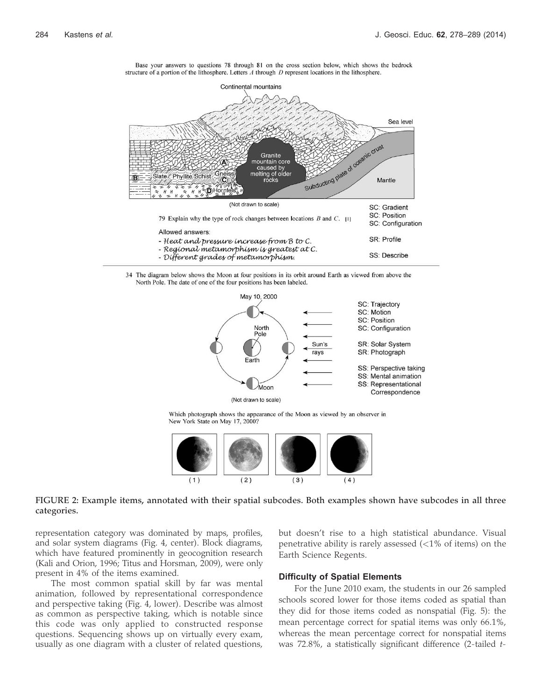

Base your answers to questions 78 through 81 on the cross section below, which shows the bedrock structure of a portion of the lithosphere. Letters  $A$  through  $D$  represent locations in the lithosphere.

34 The diagram below shows the Moon at four positions in its orbit around Earth as viewed from above the North Pole. The date of one of the four positions has been labeled.



Which photograph shows the appearance of the Moon as viewed by an observer in New York State on May 17, 2000?



### FIGURE 2: Example items, annotated with their spatial subcodes. Both examples shown have subcodes in all three categories.

representation category was dominated by maps, profiles, and solar system diagrams (Fig. 4, center). Block diagrams, which have featured prominently in geocognition research (Kali and Orion, 1996; Titus and Horsman, 2009), were only present in 4% of the items examined.

The most common spatial skill by far was mental animation, followed by representational correspondence and perspective taking (Fig. 4, lower). Describe was almost as common as perspective taking, which is notable since this code was only applied to constructed response questions. Sequencing shows up on virtually every exam, usually as one diagram with a cluster of related questions, but doesn't rise to a high statistical abundance. Visual penetrative ability is rarely assessed  $\left($  <1% of items) on the Earth Science Regents.

### Difficulty of Spatial Elements

For the June 2010 exam, the students in our 26 sampled schools scored lower for those items coded as spatial than they did for those items coded as nonspatial (Fig. 5): the mean percentage correct for spatial items was only 66.1%, whereas the mean percentage correct for nonspatial items was 72.8%, a statistically significant difference (2-tailed t-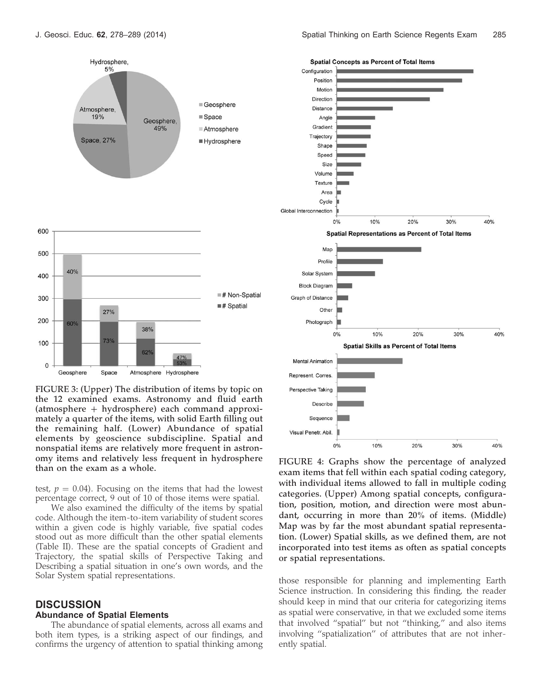

FIGURE 3: (Upper) The distribution of items by topic on the 12 examined exams. Astronomy and fluid earth (atmosphere + hydrosphere) each command approximately a quarter of the items, with solid Earth filling out the remaining half. (Lower) Abundance of spatial elements by geoscience subdiscipline. Spatial and nonspatial items are relatively more frequent in astronomy items and relatively less frequent in hydrosphere omy items and relatively less frequent in nydrosphere FIGURE 4: Graphs show the percentage of analyzed<br>than on the exam as a whole.

test,  $p = 0.04$ ). Focusing on the items that had the lowest percentage correct, 9 out of 10 of those items were spatial.

We also examined the difficulty of the items by spatial code. Although the item-to-item variability of student scores within a given code is highly variable, five spatial codes stood out as more difficult than the other spatial elements (Table II). These are the spatial concepts of Gradient and Trajectory, the spatial skills of Perspective Taking and Describing a spatial situation in one's own words, and the Solar System spatial representations.

### **DISCUSSION**

#### Abundance of Spatial Elements

The abundance of spatial elements, across all exams and both item types, is a striking aspect of our findings, and confirms the urgency of attention to spatial thinking among



exam items that fell within each spatial coding category, with individual items allowed to fall in multiple coding categories. (Upper) Among spatial concepts, configuration, position, motion, and direction were most abundant, occurring in more than 20% of items. (Middle) Map was by far the most abundant spatial representation. (Lower) Spatial skills, as we defined them, are not incorporated into test items as often as spatial concepts or spatial representations.

those responsible for planning and implementing Earth Science instruction. In considering this finding, the reader should keep in mind that our criteria for categorizing items as spatial were conservative, in that we excluded some items that involved ''spatial'' but not ''thinking,'' and also items involving ''spatialization'' of attributes that are not inherently spatial.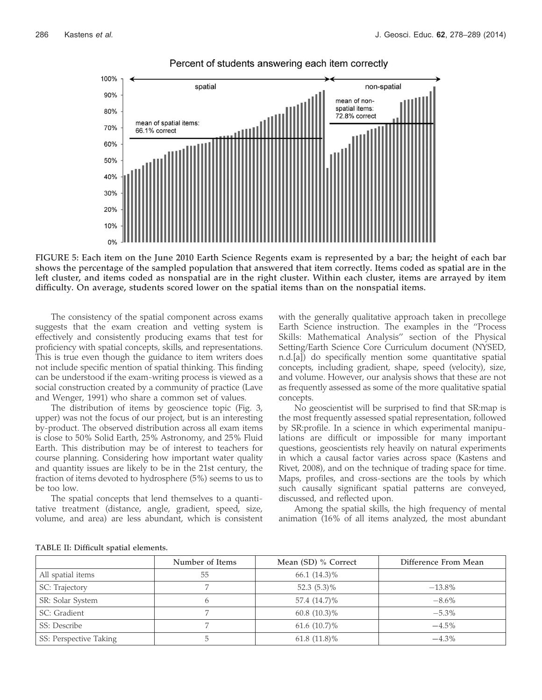

### Percent of students answering each item correctly

FIGURE 5: Each item on the June 2010 Earth Science Regents exam is represented by a bar; the height of each bar shows the percentage of the sampled population that answered that item correctly. Items coded as spatial are in the left cluster, and items coded as nonspatial are in the right cluster. Within each cluster, items are arrayed by item difficulty. On average, students scored lower on the spatial items than on the nonspatial items.

The consistency of the spatial component across exams suggests that the exam creation and vetting system is effectively and consistently producing exams that test for proficiency with spatial concepts, skills, and representations. This is true even though the guidance to item writers does not include specific mention of spatial thinking. This finding can be understood if the exam-writing process is viewed as a social construction created by a community of practice (Lave and Wenger, 1991) who share a common set of values.

The distribution of items by geoscience topic (Fig. 3, upper) was not the focus of our project, but is an interesting by-product. The observed distribution across all exam items is close to 50% Solid Earth, 25% Astronomy, and 25% Fluid Earth. This distribution may be of interest to teachers for course planning. Considering how important water quality and quantity issues are likely to be in the 21st century, the fraction of items devoted to hydrosphere (5%) seems to us to be too low.

The spatial concepts that lend themselves to a quantitative treatment (distance, angle, gradient, speed, size, volume, and area) are less abundant, which is consistent with the generally qualitative approach taken in precollege Earth Science instruction. The examples in the ''Process Skills: Mathematical Analysis'' section of the Physical Setting/Earth Science Core Curriculum document (NYSED, n.d.[a]) do specifically mention some quantitative spatial concepts, including gradient, shape, speed (velocity), size, and volume. However, our analysis shows that these are not as frequently assessed as some of the more qualitative spatial concepts.

No geoscientist will be surprised to find that SR:map is the most frequently assessed spatial representation, followed by SR:profile. In a science in which experimental manipulations are difficult or impossible for many important questions, geoscientists rely heavily on natural experiments in which a causal factor varies across space (Kastens and Rivet, 2008), and on the technique of trading space for time. Maps, profiles, and cross-sections are the tools by which such causally significant spatial patterns are conveyed, discussed, and reflected upon.

Among the spatial skills, the high frequency of mental animation (16% of all items analyzed, the most abundant

|                        | Number of Items | Mean (SD) % Correct | Difference From Mean |
|------------------------|-----------------|---------------------|----------------------|
| All spatial items      | 55              | 66.1 (14.3)%        |                      |
| SC: Trajectory         |                 | 52.3 $(5.3)\%$      | $-13.8\%$            |
| SR: Solar System       |                 | 57.4 (14.7)%        | $-8.6\%$             |
| SC: Gradient           |                 | $60.8(10.3)\%$      | $-5.3\%$             |
| SS: Describe           |                 | $61.6(10.7)\%$      | $-4.5\%$             |
| SS: Perspective Taking |                 | $61.8(11.8)\%$      | $-4.3\%$             |

TABLE II: Difficult spatial elements.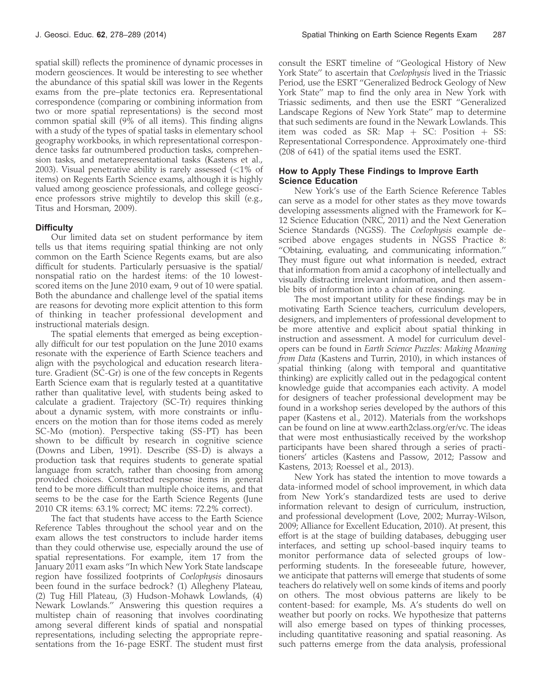spatial skill) reflects the prominence of dynamic processes in modern geosciences. It would be interesting to see whether the abundance of this spatial skill was lower in the Regents exams from the pre–plate tectonics era. Representational correspondence (comparing or combining information from two or more spatial representations) is the second most common spatial skill (9% of all items). This finding aligns with a study of the types of spatial tasks in elementary school geography workbooks, in which representational correspondence tasks far outnumbered production tasks, comprehension tasks, and metarepresentational tasks (Kastens et al., 2003). Visual penetrative ability is rarely assessed  $\langle$  <1% of items) on Regents Earth Science exams, although it is highly valued among geoscience professionals, and college geoscience professors strive mightily to develop this skill (e.g., Titus and Horsman, 2009).

# **Difficulty**

Our limited data set on student performance by item tells us that items requiring spatial thinking are not only common on the Earth Science Regents exams, but are also difficult for students. Particularly persuasive is the spatial/ nonspatial ratio on the hardest items: of the 10 lowestscored items on the June 2010 exam, 9 out of 10 were spatial. Both the abundance and challenge level of the spatial items are reasons for devoting more explicit attention to this form of thinking in teacher professional development and instructional materials design.

The spatial elements that emerged as being exceptionally difficult for our test population on the June 2010 exams resonate with the experience of Earth Science teachers and align with the psychological and education research literature. Gradient (SC-Gr) is one of the few concepts in Regents Earth Science exam that is regularly tested at a quantitative rather than qualitative level, with students being asked to calculate a gradient. Trajectory (SC-Tr) requires thinking about a dynamic system, with more constraints or influencers on the motion than for those items coded as merely SC-Mo (motion). Perspective taking (SS-PT) has been shown to be difficult by research in cognitive science (Downs and Liben, 1991). Describe (SS-D) is always a production task that requires students to generate spatial language from scratch, rather than choosing from among provided choices. Constructed response items in general tend to be more difficult than multiple choice items, and that seems to be the case for the Earth Science Regents (June 2010 CR items: 63.1% correct; MC items: 72.2% correct).

The fact that students have access to the Earth Science Reference Tables throughout the school year and on the exam allows the test constructors to include harder items than they could otherwise use, especially around the use of spatial representations. For example, item 17 from the January 2011 exam asks ''In which New York State landscape region have fossilized footprints of Coelophysis dinosaurs been found in the surface bedrock? (1) Allegheny Plateau, (2) Tug Hill Plateau, (3) Hudson-Mohawk Lowlands, (4) Newark Lowlands.'' Answering this question requires a multistep chain of reasoning that involves coordinating among several different kinds of spatial and nonspatial representations, including selecting the appropriate representations from the 16-page ESRT. The student must first

consult the ESRT timeline of ''Geological History of New York State" to ascertain that Coelophysis lived in the Triassic Period, use the ESRT ''Generalized Bedrock Geology of New York State" map to find the only area in New York with Triassic sediments, and then use the ESRT ''Generalized Landscape Regions of New York State'' map to determine that such sediments are found in the Newark Lowlands. This item was coded as SR: Map  $+$  SC: Position  $+$  SS: Representational Correspondence. Approximately one-third (208 of 641) of the spatial items used the ESRT.

### How to Apply These Findings to Improve Earth Science Education

New York's use of the Earth Science Reference Tables can serve as a model for other states as they move towards developing assessments aligned with the Framework for K– 12 Science Education (NRC, 2011) and the Next Generation Science Standards (NGSS). The Coelophysis example described above engages students in NGSS Practice 8: ''Obtaining, evaluating, and communicating information.'' They must figure out what information is needed, extract that information from amid a cacophony of intellectually and visually distracting irrelevant information, and then assemble bits of information into a chain of reasoning.

The most important utility for these findings may be in motivating Earth Science teachers, curriculum developers, designers, and implementers of professional development to be more attentive and explicit about spatial thinking in instruction and assessment. A model for curriculum developers can be found in Earth Science Puzzles: Making Meaning from Data (Kastens and Turrin, 2010), in which instances of spatial thinking (along with temporal and quantitative thinking) are explicitly called out in the pedagogical content knowledge guide that accompanies each activity. A model for designers of teacher professional development may be found in a workshop series developed by the authors of this paper (Kastens et al., 2012). Materials from the workshops can be found on line at www.earth2class.org/er/vc. The ideas that were most enthusiastically received by the workshop participants have been shared through a series of practitioners' articles (Kastens and Passow, 2012; Passow and Kastens, 2013; Roessel et al., 2013).

New York has stated the intention to move towards a data-informed model of school improvement, in which data from New York's standardized tests are used to derive information relevant to design of curriculum, instruction, and professional development (Love, 2002; Murray-Wilson, 2009; Alliance for Excellent Education, 2010). At present, this effort is at the stage of building databases, debugging user interfaces, and setting up school-based inquiry teams to monitor performance data of selected groups of lowperforming students. In the foreseeable future, however, we anticipate that patterns will emerge that students of some teachers do relatively well on some kinds of items and poorly on others. The most obvious patterns are likely to be content-based: for example, Ms. A's students do well on weather but poorly on rocks. We hypothesize that patterns will also emerge based on types of thinking processes, including quantitative reasoning and spatial reasoning. As such patterns emerge from the data analysis, professional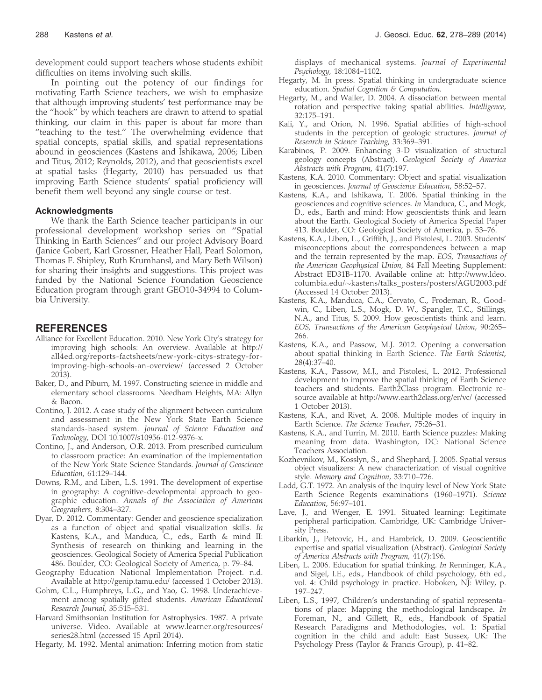development could support teachers whose students exhibit difficulties on items involving such skills.

In pointing out the potency of our findings for motivating Earth Science teachers, we wish to emphasize that although improving students' test performance may be the ''hook'' by which teachers are drawn to attend to spatial thinking, our claim in this paper is about far more than ''teaching to the test.'' The overwhelming evidence that spatial concepts, spatial skills, and spatial representations abound in geosciences (Kastens and Ishikawa, 2006; Liben and Titus, 2012; Reynolds, 2012), and that geoscientists excel at spatial tasks (Hegarty, 2010) has persuaded us that improving Earth Science students' spatial proficiency will benefit them well beyond any single course or test.

### Acknowledgments

We thank the Earth Science teacher participants in our professional development workshop series on ''Spatial Thinking in Earth Sciences'' and our project Advisory Board (Janice Gobert, Karl Grossner, Heather Hall, Pearl Solomon, Thomas F. Shipley, Ruth Krumhansl, and Mary Beth Wilson) for sharing their insights and suggestions. This project was funded by the National Science Foundation Geoscience Education program through grant GEO10-34994 to Columbia University.

# **REFERENCES**

- Alliance for Excellent Education. 2010. New York City's strategy for improving high schools: An overview. Available at http:// all4ed.org/reports-factsheets/new-york-citys-strategy-forimproving-high-schools-an-overview/ (accessed 2 October 2013).
- Baker, D., and Piburn, M. 1997. Constructing science in middle and elementary school classrooms. Needham Heights, MA: Allyn & Bacon.
- Contino, J. 2012. A case study of the alignment between curriculum and assessment in the New York State Earth Science standards-based system. Journal of Science Education and Technology, DOI 10.1007/s10956-012-9376-x.
- Contino, J., and Anderson, O.R. 2013. From prescribed curriculum to classroom practice: An examination of the implementation of the New York State Science Standards. Journal of Geoscience Education, 61:129–144.
- Downs, R.M., and Liben, L.S. 1991. The development of expertise in geography: A cognitive-developmental approach to geographic education. Annals of the Association of American Geographers, 8:304–327.
- Dyar, D. 2012. Commentary: Gender and geoscience specialization as a function of object and spatial visualization skills. In Kastens, K.A., and Manduca, C., eds., Earth & mind II: Synthesis of research on thinking and learning in the geosciences. Geological Society of America Special Publication 486. Boulder, CO: Geological Society of America, p. 79–84.
- Geography Education National Implementation Project. n.d. Available at http://genip.tamu.edu/ (accessed 1 October 2013).
- Gohm, C.L., Humphreys, L.G., and Yao, G. 1998. Underachievement among spatially gifted students. American Educational Research Journal, 35:515–531.
- Harvard Smithsonian Institution for Astrophysics. 1987. A private universe. Video. Available at www.learner.org/resources/ series28.html (accessed 15 April 2014).

Hegarty, M. 1992. Mental animation: Inferring motion from static

displays of mechanical systems. Journal of Experimental Psychology, 18:1084–1102.

- Hegarty, M. In press. Spatial thinking in undergraduate science education. Spatial Cognition & Computation.
- Hegarty, M., and Waller, D. 2004. A dissociation between mental rotation and perspective taking spatial abilities. Intelligence, 32:175–191.
- Kali, Y., and Orion, N. 1996. Spatial abilities of high-school students in the perception of geologic structures. Journal of Research in Science Teaching, 33:369–391.
- Karabinos, P. 2009. Enhancing 3-D visualization of structural geology concepts (Abstract). Geological Society of America Abstracts with Program, 41(7):197.
- Kastens, K.A. 2010. Commentary: Object and spatial visualization in geosciences. Journal of Geoscience Education, 58:52–57.
- Kastens, K.A., and Ishikawa, T. 2006. Spatial thinking in the geosciences and cognitive sciences. In Manduca, C., and Mogk, D., eds., Earth and mind: How geoscientists think and learn about the Earth. Geological Society of America Special Paper 413. Boulder, CO: Geological Society of America, p. 53–76.
- Kastens, K.A., Liben, L., Griffith, J., and Pistolesi, L. 2003. Students' misconceptions about the correspondences between a map and the terrain represented by the map. EOS, Transactions of the American Geophysical Union, 84 Fall Meeting Supplement: Abstract ED31B-1170. Available online at: http://www.ldeo. columbia.edu/~kastens/talks\_posters/posters/AGU2003.pdf (Accessed 14 October 2013).
- Kastens, K.A., Manduca, C.A., Cervato, C., Frodeman, R., Goodwin, C., Liben, L.S., Mogk, D. W., Spangler, T.C., Stillings, N.A., and Titus, S. 2009. How geoscientists think and learn. EOS, Transactions of the American Geophysical Union, 90:265– 266.
- Kastens, K.A., and Passow, M.J. 2012. Opening a conversation about spatial thinking in Earth Science. The Earth Scientist, 28(4):37–40.
- Kastens, K.A., Passow, M.J., and Pistolesi, L. 2012. Professional development to improve the spatial thinking of Earth Science teachers and students. Earth2Class program. Electronic resource available at http://www.earth2class.org/er/vc/ (accessed 1 October 2013).
- Kastens, K.A., and Rivet, A. 2008. Multiple modes of inquiry in Earth Science. The Science Teacher, 75:26–31.
- Kastens, K.A., and Turrin, M. 2010. Earth Science puzzles: Making meaning from data. Washington, DC: National Science Teachers Association.
- Kozhevnikov, M., Kosslyn, S., and Shephard, J. 2005. Spatial versus object visualizers: A new characterization of visual cognitive style. Memory and Cognition, 33:710–726.
- Ladd, G.T. 1972. An analysis of the inquiry level of New York State Earth Science Regents examinations (1960–1971). Science Education, 56:97–101.
- Lave, J., and Wenger, E. 1991. Situated learning: Legitimate peripheral participation. Cambridge, UK: Cambridge University Press.
- Libarkin, J., Petcovic, H., and Hambrick, D. 2009. Geoscientific expertise and spatial visualization (Abstract). Geological Society of America Abstracts with Program, 41(7):196.
- Liben, L. 2006. Education for spatial thinking. In Renninger, K.A., and Sigel, I.E., eds., Handbook of child psychology, 6th ed., vol. 4: Child psychology in practice. Hoboken, NJ: Wiley, p. 197–247.
- Liben, L.S., 1997, Children's understanding of spatial representations of place: Mapping the methodological landscape. In Foreman, N., and Gillett, R., eds., Handbook of Spatial Research Paradigms and Methodologies, vol. 1: Spatial cognition in the child and adult: East Sussex, UK: The Psychology Press (Taylor & Francis Group), p. 41–82.